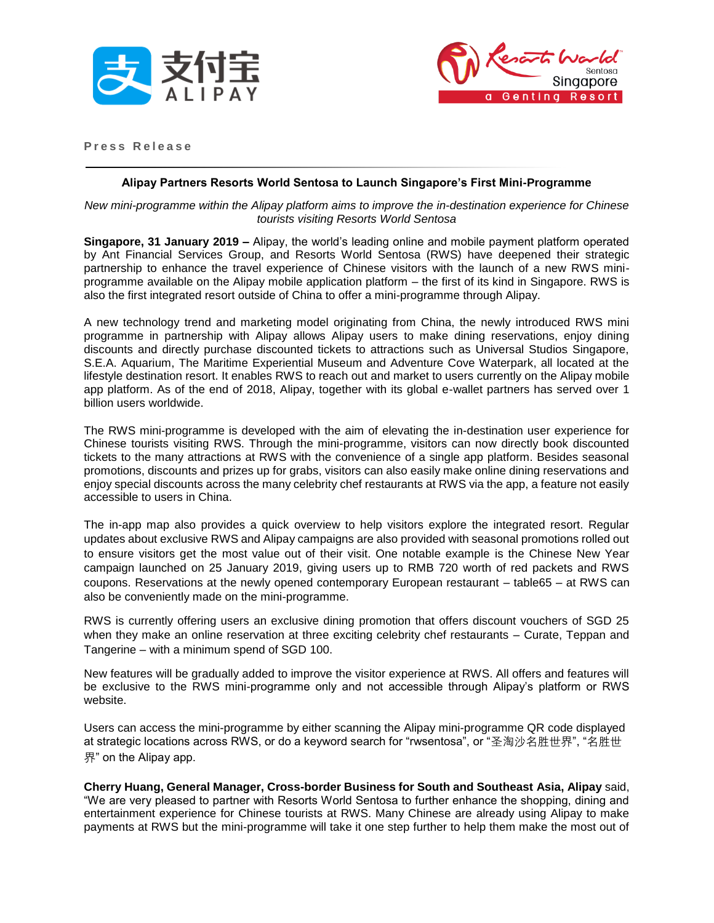



**P r e s s R e l e a s e**

## **Alipay Partners Resorts World Sentosa to Launch Singapore's First Mini-Programme**

#### *New mini-programme within the Alipay platform aims to improve the in-destination experience for Chinese tourists visiting Resorts World Sentosa*

**Singapore, 31 January 2019 –** Alipay, the world's leading online and mobile payment platform operated by Ant Financial Services Group, and Resorts World Sentosa (RWS) have deepened their strategic partnership to enhance the travel experience of Chinese visitors with the launch of a new RWS miniprogramme available on the Alipay mobile application platform – the first of its kind in Singapore. RWS is also the first integrated resort outside of China to offer a mini-programme through Alipay.

A new technology trend and marketing model originating from China, the newly introduced RWS mini programme in partnership with Alipay allows Alipay users to make dining reservations, enjoy dining discounts and directly purchase discounted tickets to attractions such as Universal Studios Singapore, S.E.A. Aquarium, The Maritime Experiential Museum and Adventure Cove Waterpark, all located at the lifestyle destination resort. It enables RWS to reach out and market to users currently on the Alipay mobile app platform. As of the end of 2018, Alipay, together with its global e-wallet partners has served over 1 billion users worldwide.

The RWS mini-programme is developed with the aim of elevating the in-destination user experience for Chinese tourists visiting RWS. Through the mini-programme, visitors can now directly book discounted tickets to the many attractions at RWS with the convenience of a single app platform. Besides seasonal promotions, discounts and prizes up for grabs, visitors can also easily make online dining reservations and enjoy special discounts across the many celebrity chef restaurants at RWS via the app, a feature not easily accessible to users in China.

The in-app map also provides a quick overview to help visitors explore the integrated resort. Regular updates about exclusive RWS and Alipay campaigns are also provided with seasonal promotions rolled out to ensure visitors get the most value out of their visit. One notable example is the Chinese New Year campaign launched on 25 January 2019, giving users up to RMB 720 worth of red packets and RWS coupons. Reservations at the newly opened contemporary European restaurant – table65 – at RWS can also be conveniently made on the mini-programme.

RWS is currently offering users an exclusive dining promotion that offers discount vouchers of SGD 25 when they make an online reservation at three exciting celebrity chef restaurants – Curate, Teppan and Tangerine – with a minimum spend of SGD 100.

New features will be gradually added to improve the visitor experience at RWS. All offers and features will be exclusive to the RWS mini-programme only and not accessible through Alipay's platform or RWS website.

Users can access the mini-programme by either scanning the Alipay mini-programme QR code displayed at strategic locations across RWS, or do a keyword search for "rwsentosa", or "圣淘沙名胜世界", "名胜世 界" on the Alipay app.

**Cherry Huang, General Manager, Cross-border Business for South and Southeast Asia, Alipay** said, "We are very pleased to partner with Resorts World Sentosa to further enhance the shopping, dining and entertainment experience for Chinese tourists at RWS. Many Chinese are already using Alipay to make payments at RWS but the mini-programme will take it one step further to help them make the most out of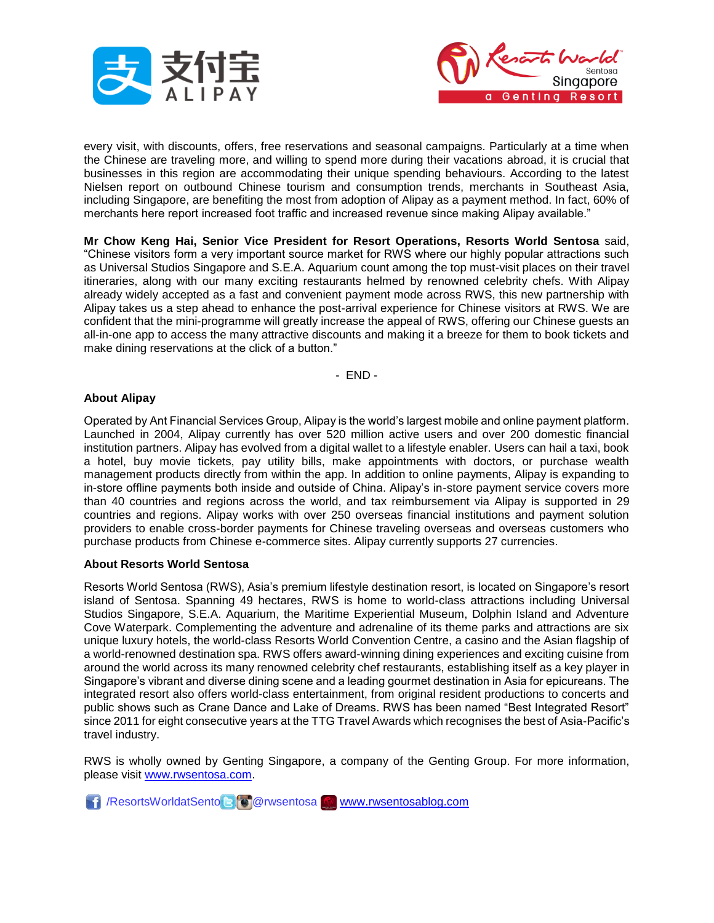



every visit, with discounts, offers, free reservations and seasonal campaigns. Particularly at a time when the Chinese are traveling more, and willing to spend more during their vacations abroad, it is crucial that businesses in this region are accommodating their unique spending behaviours. According to the latest Nielsen report on outbound Chinese tourism and consumption trends, merchants in Southeast Asia, including Singapore, are benefiting the most from adoption of Alipay as a payment method. In fact, 60% of merchants here report increased foot traffic and increased revenue since making Alipay available."

**Mr Chow Keng Hai, Senior Vice President for Resort Operations, Resorts World Sentosa** said, "Chinese visitors form a very important source market for RWS where our highly popular attractions such as Universal Studios Singapore and S.E.A. Aquarium count among the top must-visit places on their travel itineraries, along with our many exciting restaurants helmed by renowned celebrity chefs. With Alipay already widely accepted as a fast and convenient payment mode across RWS, this new partnership with Alipay takes us a step ahead to enhance the post-arrival experience for Chinese visitors at RWS. We are confident that the mini-programme will greatly increase the appeal of RWS, offering our Chinese guests an all-in-one app to access the many attractive discounts and making it a breeze for them to book tickets and make dining reservations at the click of a button."

- END -

# **About Alipay**

Operated by Ant Financial Services Group, Alipay is the world's largest mobile and online payment platform. Launched in 2004, Alipay currently has over 520 million active users and over 200 domestic financial institution partners. Alipay has evolved from a digital wallet to a lifestyle enabler. Users can hail a taxi, book a hotel, buy movie tickets, pay utility bills, make appointments with doctors, or purchase wealth management products directly from within the app. In addition to online payments, Alipay is expanding to in-store offline payments both inside and outside of China. Alipay's in-store payment service covers more than 40 countries and regions across the world, and tax reimbursement via Alipay is supported in 29 countries and regions. Alipay works with over 250 overseas financial institutions and payment solution providers to enable cross-border payments for Chinese traveling overseas and overseas customers who purchase products from Chinese e-commerce sites. Alipay currently supports 27 currencies.

## **About Resorts World Sentosa**

Resorts World Sentosa (RWS), Asia's premium lifestyle destination resort, is located on Singapore's resort island of Sentosa. Spanning 49 hectares, RWS is home to world-class attractions including Universal Studios Singapore, S.E.A. Aquarium, the Maritime Experiential Museum, Dolphin Island and Adventure Cove Waterpark. Complementing the adventure and adrenaline of its theme parks and attractions are six unique luxury hotels, the world-class Resorts World Convention Centre, a casino and the Asian flagship of a world-renowned destination spa. RWS offers award-winning dining experiences and exciting cuisine from around the world across its many renowned celebrity chef restaurants, establishing itself as a key player in Singapore's vibrant and diverse dining scene and a leading gourmet destination in Asia for epicureans. The integrated resort also offers world-class entertainment, from original resident productions to concerts and public shows such as Crane Dance and Lake of Dreams. RWS has been named "Best Integrated Resort" since 2011 for eight consecutive years at the TTG Travel Awards which recognises the best of Asia-Pacific's travel industry.

RWS is wholly owned by Genting Singapore, a company of the Genting Group. For more information, please visit [www.rwsentosa.com.](http://www.rwsentosa.com/)

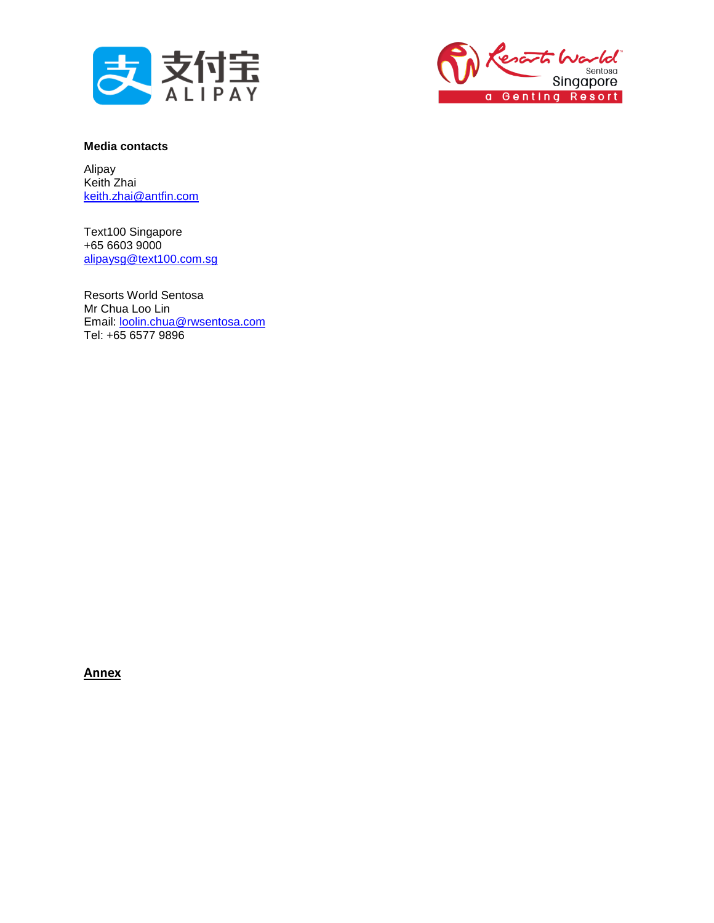



## **Media contacts**

Alipay Keith Zhai [keith.zhai@antfin.com](mailto:keith.zhai@antfin.com)

Text100 Singapore +65 6603 9000 [alipaysg@text100.com.sg](mailto:alipaysg@text100.com.sg)

Resorts World Sentosa Mr Chua Loo Lin Email: [loolin.chua@rwsentosa.com](mailto:loolin.chua@rwsentosa.com) Tel: +65 6577 9896

**Annex**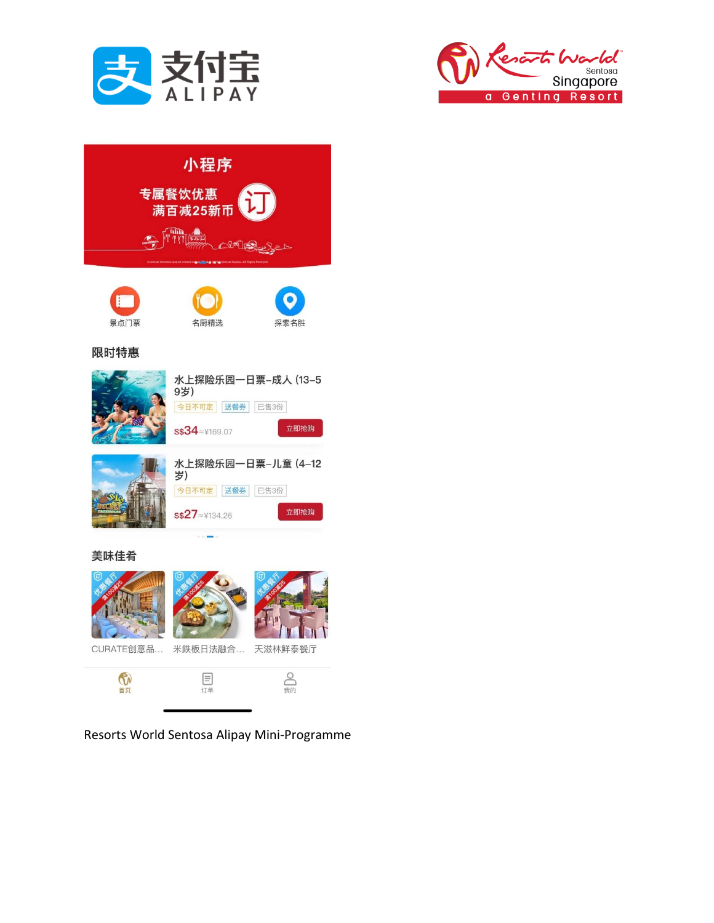



| 小程序                                                         |                                                                      |  |
|-------------------------------------------------------------|----------------------------------------------------------------------|--|
| 专属餐饮优惠<br><b>ET</b><br>满百减25新币<br><b>With Allege</b><br>心响亮 |                                                                      |  |
|                                                             |                                                                      |  |
| F<br>景点门票                                                   | 名厨精选<br>探索名胜                                                         |  |
| 限时特惠                                                        |                                                                      |  |
|                                                             | 水上探险乐园一日票-成人 (13-5<br>9岁)<br>今日不可定 送餐券 已售3份<br>立即抢购<br>S\$34≈¥169.07 |  |
|                                                             | 水上探险乐园一日票-儿童 (4-12<br>岁)<br>今日不可定 送餐券 已售3份<br>立即抢购<br>s\$27≈¥134.26  |  |
| 美味佳肴                                                        |                                                                      |  |
|                                                             | h.<br>$  -  $                                                        |  |





 $\mathcal{M}$ CURATE创意品... 米鉄板日法融合... 天滋林鲜泰餐厅



Resorts World Sentosa Alipay Mini-Programme